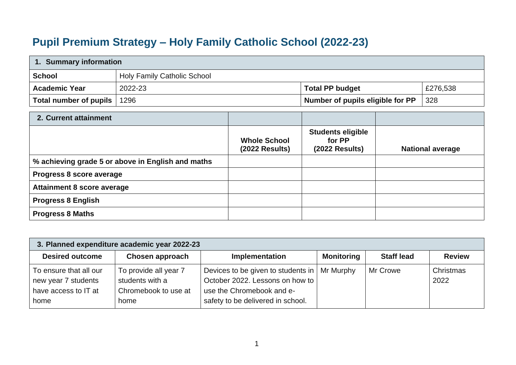## **Pupil Premium Strategy – Holy Family Catholic School (2022-23)**

| 1. Summary information        |                                    |                                  |          |  |
|-------------------------------|------------------------------------|----------------------------------|----------|--|
| School                        | <b>Holy Family Catholic School</b> |                                  |          |  |
| <b>Academic Year</b>          | 2022-23                            | <b>Total PP budget</b>           | £276,538 |  |
| Total number of pupils   1296 |                                    | Number of pupils eligible for PP | 328      |  |

| 2. Current attainment                             |                                         |                                                        |                         |
|---------------------------------------------------|-----------------------------------------|--------------------------------------------------------|-------------------------|
|                                                   | <b>Whole School</b><br>$(2022$ Results) | <b>Students eligible</b><br>for PP<br>$(2022$ Results) | <b>National average</b> |
| % achieving grade 5 or above in English and maths |                                         |                                                        |                         |
| Progress 8 score average                          |                                         |                                                        |                         |
| <b>Attainment 8 score average</b>                 |                                         |                                                        |                         |
| <b>Progress 8 English</b>                         |                                         |                                                        |                         |
| <b>Progress 8 Maths</b>                           |                                         |                                                        |                         |

| 3. Planned expenditure academic year 2022-23                                  |                                                                          |                                                                                                                                                     |                   |                   |                   |
|-------------------------------------------------------------------------------|--------------------------------------------------------------------------|-----------------------------------------------------------------------------------------------------------------------------------------------------|-------------------|-------------------|-------------------|
| <b>Desired outcome</b>                                                        | Chosen approach                                                          | <b>Implementation</b>                                                                                                                               | <b>Monitoring</b> | <b>Staff lead</b> | <b>Review</b>     |
| To ensure that all our<br>new year 7 students<br>have access to IT at<br>home | To provide all year 7<br>students with a<br>Chromebook to use at<br>home | Devices to be given to students in   Mr Murphy<br>October 2022. Lessons on how to<br>use the Chromebook and e-<br>safety to be delivered in school. |                   | Mr Crowe          | Christmas<br>2022 |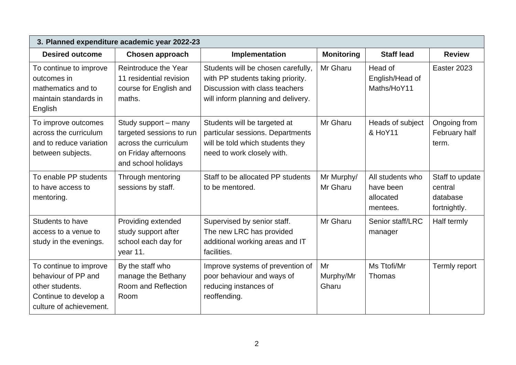| 3. Planned expenditure academic year 2022-23                                                                         |                                                                                                                          |                                                                                                                                                 |                          |                                                        |                                                        |
|----------------------------------------------------------------------------------------------------------------------|--------------------------------------------------------------------------------------------------------------------------|-------------------------------------------------------------------------------------------------------------------------------------------------|--------------------------|--------------------------------------------------------|--------------------------------------------------------|
| <b>Desired outcome</b>                                                                                               | Chosen approach                                                                                                          | Implementation                                                                                                                                  | <b>Monitoring</b>        | <b>Staff lead</b>                                      | <b>Review</b>                                          |
| To continue to improve<br>outcomes in<br>mathematics and to<br>maintain standards in<br>English                      | Reintroduce the Year<br>11 residential revision<br>course for English and<br>maths.                                      | Students will be chosen carefully,<br>with PP students taking priority.<br>Discussion with class teachers<br>will inform planning and delivery. | Mr Gharu                 | Head of<br>English/Head of<br>Maths/HoY11              | Easter 2023                                            |
| To improve outcomes<br>across the curriculum<br>and to reduce variation<br>between subjects.                         | Study support - many<br>targeted sessions to run<br>across the curriculum<br>on Friday afternoons<br>and school holidays | Students will be targeted at<br>particular sessions. Departments<br>will be told which students they<br>need to work closely with.              | Mr Gharu                 | Heads of subject<br>& HoY11                            | Ongoing from<br>February half<br>term.                 |
| To enable PP students<br>to have access to<br>mentoring.                                                             | Through mentoring<br>sessions by staff.                                                                                  | Staff to be allocated PP students<br>to be mentored.                                                                                            | Mr Murphy/<br>Mr Gharu   | All students who<br>have been<br>allocated<br>mentees. | Staff to update<br>central<br>database<br>fortnightly. |
| Students to have<br>access to a venue to<br>study in the evenings.                                                   | Providing extended<br>study support after<br>school each day for<br>year 11.                                             | Supervised by senior staff.<br>The new LRC has provided<br>additional working areas and IT<br>facilities.                                       | Mr Gharu                 | Senior staff/LRC<br>manager                            | Half termly                                            |
| To continue to improve<br>behaviour of PP and<br>other students.<br>Continue to develop a<br>culture of achievement. | By the staff who<br>manage the Bethany<br>Room and Reflection<br>Room                                                    | Improve systems of prevention of<br>poor behaviour and ways of<br>reducing instances of<br>reoffending.                                         | Mr<br>Murphy/Mr<br>Gharu | Ms Ttofi/Mr<br>Thomas                                  | Termly report                                          |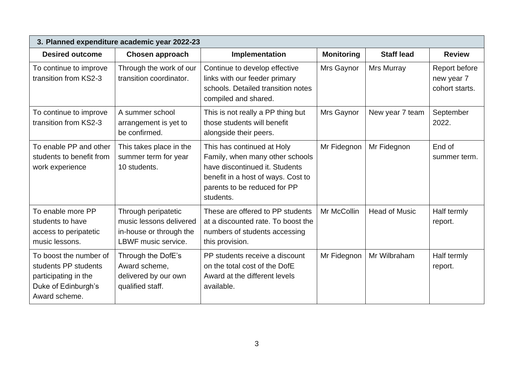| 3. Planned expenditure academic year 2022-23                                                                   |                                                                                                  |                                                                                                                                                                                    |                   |                      |                                               |
|----------------------------------------------------------------------------------------------------------------|--------------------------------------------------------------------------------------------------|------------------------------------------------------------------------------------------------------------------------------------------------------------------------------------|-------------------|----------------------|-----------------------------------------------|
| <b>Desired outcome</b>                                                                                         | Chosen approach                                                                                  | Implementation                                                                                                                                                                     | <b>Monitoring</b> | <b>Staff lead</b>    | <b>Review</b>                                 |
| To continue to improve<br>transition from KS2-3                                                                | Through the work of our<br>transition coordinator.                                               | Continue to develop effective<br>links with our feeder primary<br>schools. Detailed transition notes<br>compiled and shared.                                                       | Mrs Gaynor        | Mrs Murray           | Report before<br>new year 7<br>cohort starts. |
| To continue to improve<br>transition from KS2-3                                                                | A summer school<br>arrangement is yet to<br>be confirmed.                                        | This is not really a PP thing but<br>those students will benefit<br>alongside their peers.                                                                                         | Mrs Gaynor        | New year 7 team      | September<br>2022.                            |
| To enable PP and other<br>students to benefit from<br>work experience                                          | This takes place in the<br>summer term for year<br>10 students.                                  | This has continued at Holy<br>Family, when many other schools<br>have discontinued it. Students<br>benefit in a host of ways. Cost to<br>parents to be reduced for PP<br>students. | Mr Fidegnon       | Mr Fidegnon          | End of<br>summer term.                        |
| To enable more PP<br>students to have<br>access to peripatetic<br>music lessons.                               | Through peripatetic<br>music lessons delivered<br>in-house or through the<br>LBWF music service. | These are offered to PP students<br>at a discounted rate. To boost the<br>numbers of students accessing<br>this provision.                                                         | Mr McCollin       | <b>Head of Music</b> | Half termly<br>report.                        |
| To boost the number of<br>students PP students<br>participating in the<br>Duke of Edinburgh's<br>Award scheme. | Through the DofE's<br>Award scheme,<br>delivered by our own<br>qualified staff.                  | PP students receive a discount<br>on the total cost of the DofE<br>Award at the different levels<br>available.                                                                     | Mr Fidegnon       | Mr Wilbraham         | Half termly<br>report.                        |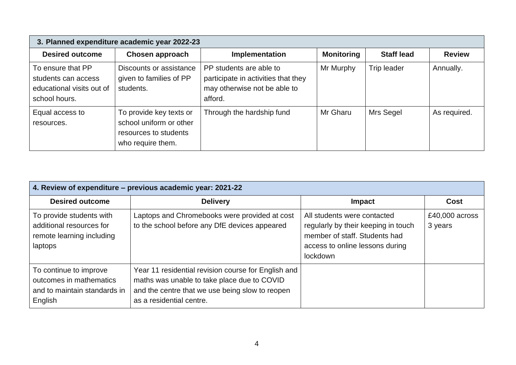| 3. Planned expenditure academic year 2022-23                                           |                                                                                                  |                                                                                                           |                   |                   |               |
|----------------------------------------------------------------------------------------|--------------------------------------------------------------------------------------------------|-----------------------------------------------------------------------------------------------------------|-------------------|-------------------|---------------|
| <b>Desired outcome</b>                                                                 | Chosen approach                                                                                  | Implementation                                                                                            | <b>Monitoring</b> | <b>Staff lead</b> | <b>Review</b> |
| To ensure that PP<br>students can access<br>educational visits out of<br>school hours. | Discounts or assistance<br>given to families of PP<br>students.                                  | PP students are able to<br>participate in activities that they<br>may otherwise not be able to<br>afford. | Mr Murphy         | Trip leader       | Annually.     |
| Equal access to<br>resources.                                                          | To provide key texts or<br>school uniform or other<br>resources to students<br>who require them. | Through the hardship fund                                                                                 | Mr Gharu          | Mrs Segel         | As required.  |

| 4. Review of expenditure – previous academic year: 2021-22                                   |                                                                                                                                                                                   |                                                                                                                                                    |                             |  |  |
|----------------------------------------------------------------------------------------------|-----------------------------------------------------------------------------------------------------------------------------------------------------------------------------------|----------------------------------------------------------------------------------------------------------------------------------------------------|-----------------------------|--|--|
| <b>Desired outcome</b>                                                                       | <b>Delivery</b>                                                                                                                                                                   | <b>Impact</b>                                                                                                                                      | <b>Cost</b>                 |  |  |
| To provide students with<br>additional resources for<br>remote learning including<br>laptops | Laptops and Chromebooks were provided at cost<br>to the school before any DfE devices appeared                                                                                    | All students were contacted<br>regularly by their keeping in touch<br>member of staff. Students had<br>access to online lessons during<br>lockdown | $£40,000$ across<br>3 years |  |  |
| To continue to improve<br>outcomes in mathematics<br>and to maintain standards in<br>English | Year 11 residential revision course for English and<br>maths was unable to take place due to COVID<br>and the centre that we use being slow to reopen<br>as a residential centre. |                                                                                                                                                    |                             |  |  |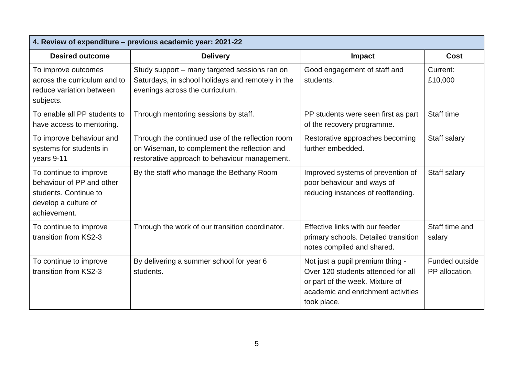| 4. Review of expenditure - previous academic year: 2021-22                                                           |                                                                                                                                                   |                                                                                                                                                                |                                  |  |  |
|----------------------------------------------------------------------------------------------------------------------|---------------------------------------------------------------------------------------------------------------------------------------------------|----------------------------------------------------------------------------------------------------------------------------------------------------------------|----------------------------------|--|--|
| <b>Desired outcome</b>                                                                                               | <b>Delivery</b>                                                                                                                                   | Impact                                                                                                                                                         | Cost                             |  |  |
| To improve outcomes<br>across the curriculum and to<br>reduce variation between<br>subjects.                         | Study support - many targeted sessions ran on<br>Saturdays, in school holidays and remotely in the<br>evenings across the curriculum.             | Good engagement of staff and<br>students.                                                                                                                      | Current:<br>£10,000              |  |  |
| To enable all PP students to<br>have access to mentoring.                                                            | Through mentoring sessions by staff.                                                                                                              | PP students were seen first as part<br>of the recovery programme.                                                                                              | Staff time                       |  |  |
| To improve behaviour and<br>systems for students in<br>years 9-11                                                    | Through the continued use of the reflection room<br>on Wiseman, to complement the reflection and<br>restorative approach to behaviour management. | Restorative approaches becoming<br>further embedded.                                                                                                           | Staff salary                     |  |  |
| To continue to improve<br>behaviour of PP and other<br>students. Continue to<br>develop a culture of<br>achievement. | By the staff who manage the Bethany Room                                                                                                          | Improved systems of prevention of<br>poor behaviour and ways of<br>reducing instances of reoffending.                                                          | Staff salary                     |  |  |
| To continue to improve<br>transition from KS2-3                                                                      | Through the work of our transition coordinator.                                                                                                   | Effective links with our feeder<br>primary schools. Detailed transition<br>notes compiled and shared.                                                          | Staff time and<br>salary         |  |  |
| To continue to improve<br>transition from KS2-3                                                                      | By delivering a summer school for year 6<br>students.                                                                                             | Not just a pupil premium thing -<br>Over 120 students attended for all<br>or part of the week. Mixture of<br>academic and enrichment activities<br>took place. | Funded outside<br>PP allocation. |  |  |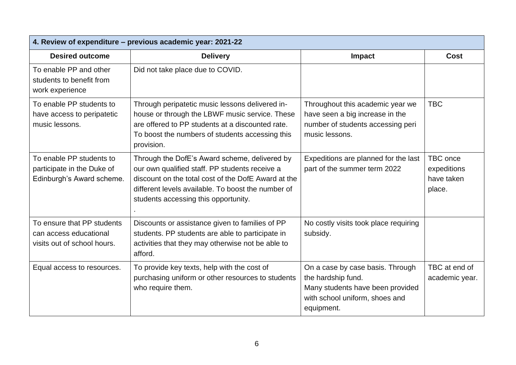| 4. Review of expenditure - previous academic year: 2021-22                          |                                                                                                                                                                                                                                                      |                                                                                                                                            |                                                        |  |  |
|-------------------------------------------------------------------------------------|------------------------------------------------------------------------------------------------------------------------------------------------------------------------------------------------------------------------------------------------------|--------------------------------------------------------------------------------------------------------------------------------------------|--------------------------------------------------------|--|--|
| <b>Desired outcome</b>                                                              | <b>Delivery</b>                                                                                                                                                                                                                                      | Impact                                                                                                                                     | <b>Cost</b>                                            |  |  |
| To enable PP and other<br>students to benefit from<br>work experience               | Did not take place due to COVID.                                                                                                                                                                                                                     |                                                                                                                                            |                                                        |  |  |
| To enable PP students to<br>have access to peripatetic<br>music lessons.            | Through peripatetic music lessons delivered in-<br>house or through the LBWF music service. These<br>are offered to PP students at a discounted rate.<br>To boost the numbers of students accessing this<br>provision.                               | Throughout this academic year we<br>have seen a big increase in the<br>number of students accessing peri<br>music lessons.                 | <b>TBC</b>                                             |  |  |
| To enable PP students to<br>participate in the Duke of<br>Edinburgh's Award scheme. | Through the DofE's Award scheme, delivered by<br>our own qualified staff. PP students receive a<br>discount on the total cost of the DofE Award at the<br>different levels available. To boost the number of<br>students accessing this opportunity. | Expeditions are planned for the last<br>part of the summer term 2022                                                                       | <b>TBC</b> once<br>expeditions<br>have taken<br>place. |  |  |
| To ensure that PP students<br>can access educational<br>visits out of school hours. | Discounts or assistance given to families of PP<br>students. PP students are able to participate in<br>activities that they may otherwise not be able to<br>afford.                                                                                  | No costly visits took place requiring<br>subsidy.                                                                                          |                                                        |  |  |
| Equal access to resources.                                                          | To provide key texts, help with the cost of<br>purchasing uniform or other resources to students<br>who require them.                                                                                                                                | On a case by case basis. Through<br>the hardship fund.<br>Many students have been provided<br>with school uniform, shoes and<br>equipment. | TBC at end of<br>academic year.                        |  |  |